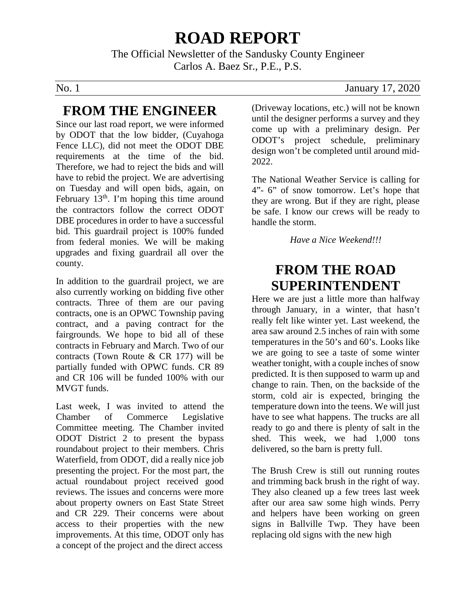# **ROAD REPORT**

The Official Newsletter of the Sandusky County Engineer Carlos A. Baez Sr., P.E., P.S.

### **FROM THE ENGINEER**

Since our last road report, we were informed by ODOT that the low bidder, (Cuyahoga Fence LLC), did not meet the ODOT DBE requirements at the time of the bid. Therefore, we had to reject the bids and will have to rebid the project. We are advertising on Tuesday and will open bids, again, on February  $13<sup>th</sup>$ . I'm hoping this time around the contractors follow the correct ODOT DBE procedures in order to have a successful bid. This guardrail project is 100% funded from federal monies. We will be making upgrades and fixing guardrail all over the county.

In addition to the guardrail project, we are also currently working on bidding five other contracts. Three of them are our paving contracts, one is an OPWC Township paving contract, and a paving contract for the fairgrounds. We hope to bid all of these contracts in February and March. Two of our contracts (Town Route & CR 177) will be partially funded with OPWC funds. CR 89 and CR 106 will be funded 100% with our MVGT funds.

Last week, I was invited to attend the Chamber of Commerce Legislative Committee meeting. The Chamber invited ODOT District 2 to present the bypass roundabout project to their members. Chris Waterfield, from ODOT, did a really nice job presenting the project. For the most part, the actual roundabout project received good reviews. The issues and concerns were more about property owners on East State Street and CR 229. Their concerns were about access to their properties with the new improvements. At this time, ODOT only has a concept of the project and the direct access

No. 1 January 17, 2020

(Driveway locations, etc.) will not be known until the designer performs a survey and they come up with a preliminary design. Per ODOT's project schedule, preliminary design won't be completed until around mid-2022.

The National Weather Service is calling for 4"- 6" of snow tomorrow. Let's hope that they are wrong. But if they are right, please be safe. I know our crews will be ready to handle the storm.

*Have a Nice Weekend!!!*

## **FROM THE ROAD SUPERINTENDENT**

Here we are just a little more than halfway through January, in a winter, that hasn't really felt like winter yet. Last weekend, the area saw around 2.5 inches of rain with some temperatures in the 50's and 60's. Looks like we are going to see a taste of some winter weather tonight, with a couple inches of snow predicted. It is then supposed to warm up and change to rain. Then, on the backside of the storm, cold air is expected, bringing the temperature down into the teens. We will just have to see what happens. The trucks are all ready to go and there is plenty of salt in the shed. This week, we had 1,000 tons delivered, so the barn is pretty full.

The Brush Crew is still out running routes and trimming back brush in the right of way. They also cleaned up a few trees last week after our area saw some high winds. Perry and helpers have been working on green signs in Ballville Twp. They have been replacing old signs with the new high